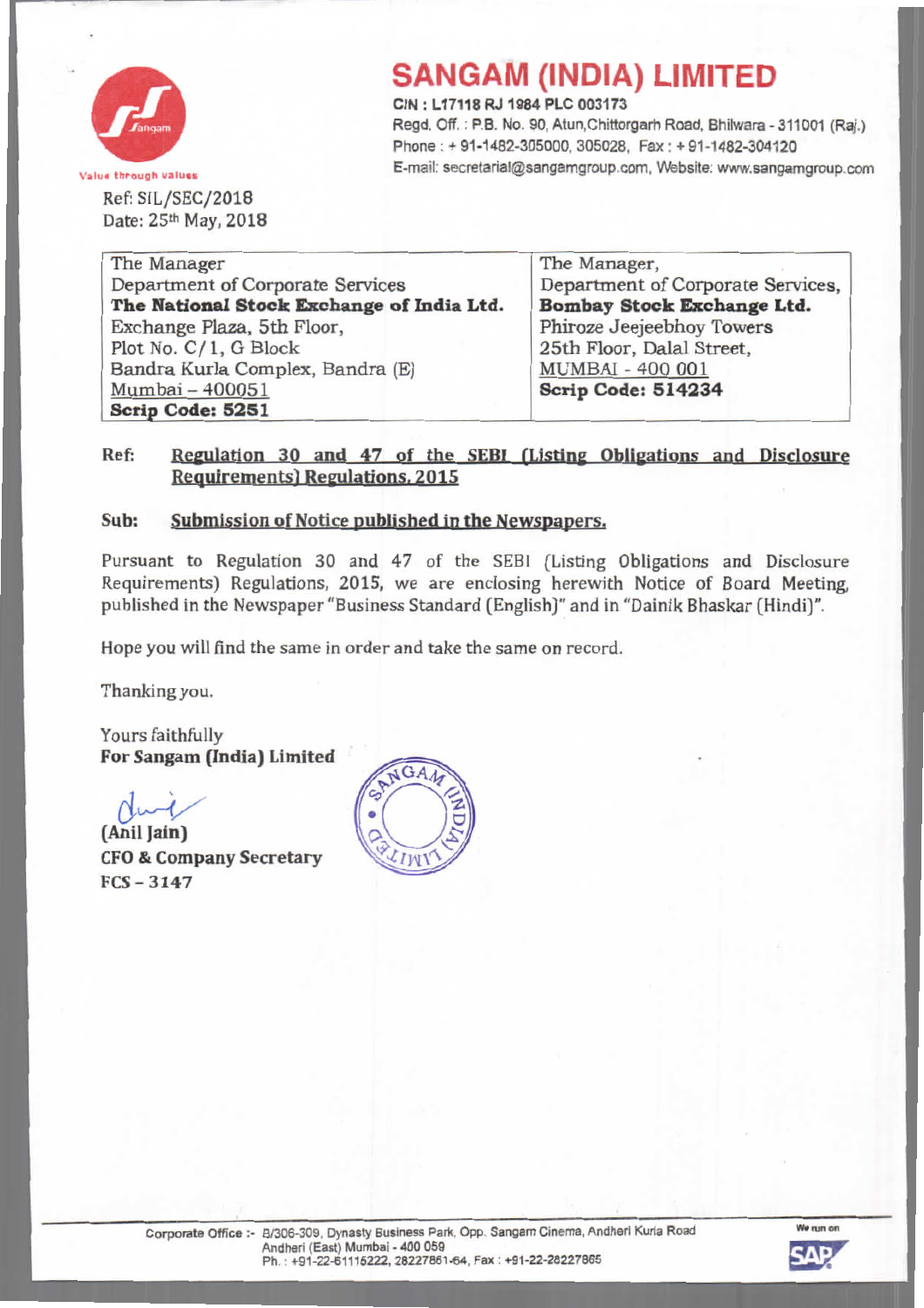

Ref: SIL/SEC/2018 Date: 25th May, 2018

# **SANGAM (INDIA) LIMITED**

**CIN: L17118 RJ 1984 PLC 003173** Regd. Off.: P.B. No. 90, Atun, Chittorgarh Road, Bhilwara - 311001 (Raj.) Phone: + 91-1482-305000, 305028, Fax: + 91-1482-304120 Value through values values exceeded and the E-mail: secretarial@sangamgroup.com, Website: www.sangamgroup.com

| The Manager                               | The Manager,                      |
|-------------------------------------------|-----------------------------------|
| Department of Corporate Services          | Department of Corporate Services, |
| The National Stock Exchange of India Ltd. | Bombay Stock Exchange Ltd.        |
| Exchange Plaza, 5th Floor,                | Phiroze Jeejeebhoy Towers         |
| Plot No. $C/1$ , G Block                  | 25th Floor, Dalal Street,         |
| Bandra Kurla Complex, Bandra (E)          | <b>MUMBAI - 400 001</b>           |
| Mumbai - 400051                           | <b>Scrip Code: 514234</b>         |
| Scrip Code: 5251                          |                                   |

### Ref: Regulation 30 and 47 of the SEBI (Listing Obligations and Disclosure **Requirements) Regulations, 2015**

#### **Sub: Submission of Notice published in the Newspapers.**

Pursuant to Regulation 30 and 47 of the SEBI (Listing Obligations and Disclosure Requirements) Regulations, 2015, we are enclosing herewith Notice of Board Meeting. published in the Newspaper "Business Standard (English)" and in "Dainik Bhaskar (Hindi)".

Hope you wilJ find the same in order and take the same on record.

Thanking you.

Yours faithfully **For Sangam (India) limited**

fuit **(Ani! Jain) CFO& Company Secretary FCS - 3147**



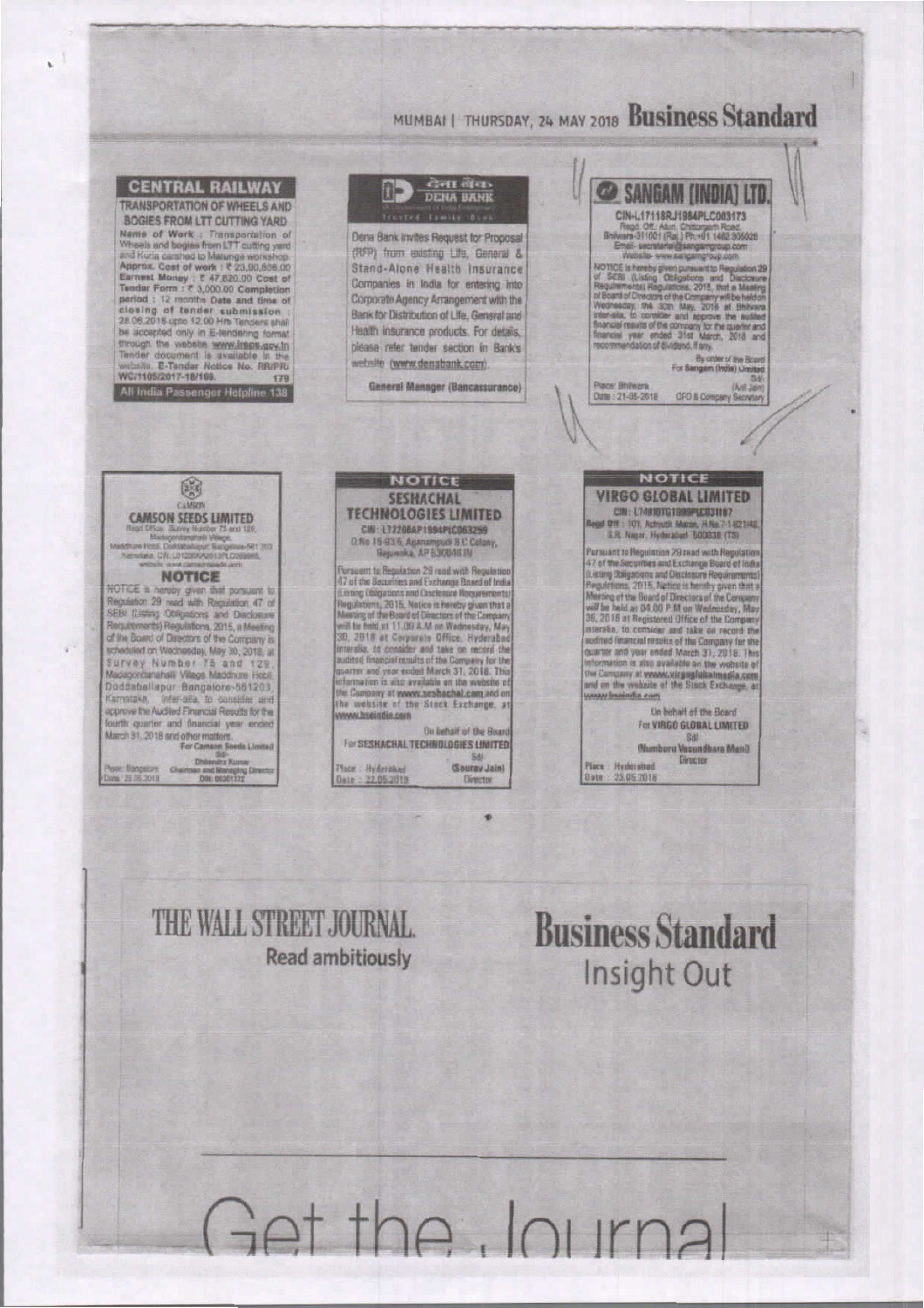### MUMBAI | THURSDAY, 24 MAY 2018 Business Standard



Get the Journa

## THE WALL STREET JOURNAL **Read ambitiously**

h.

**Business Standard** Insight Out